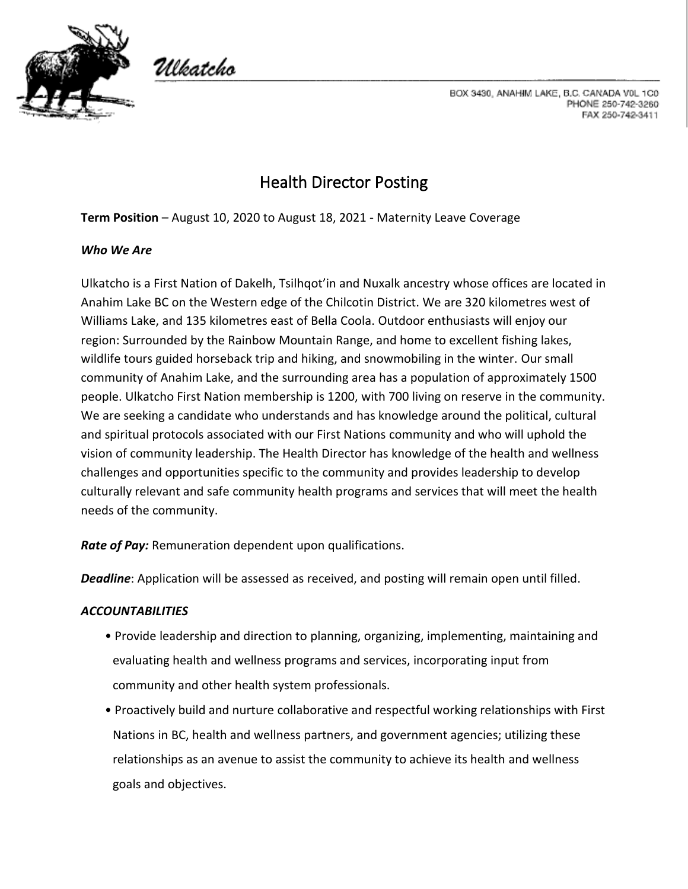

Ulkatcho

BOX 3430, ANAHIM LAKE, B.C. CANADA V0L 1C0 PHONE 250-742-3260 FAX 250-742-3411

# Health Director Posting

**Term Position** – August 10, 2020 to August 18, 2021 - Maternity Leave Coverage

### *Who We Are*

Ulkatcho is a First Nation of Dakelh, Tsilhqot'in and Nuxalk ancestry whose offices are located in Anahim Lake BC on the Western edge of the Chilcotin District. We are 320 kilometres west of Williams Lake, and 135 kilometres east of Bella Coola. Outdoor enthusiasts will enjoy our region: Surrounded by the Rainbow Mountain Range, and home to excellent fishing lakes, wildlife tours guided horseback trip and hiking, and snowmobiling in the winter. Our small community of Anahim Lake, and the surrounding area has a population of approximately 1500 people. Ulkatcho First Nation membership is 1200, with 700 living on reserve in the community. We are seeking a candidate who understands and has knowledge around the political, cultural and spiritual protocols associated with our First Nations community and who will uphold the vision of community leadership. The Health Director has knowledge of the health and wellness challenges and opportunities specific to the community and provides leadership to develop culturally relevant and safe community health programs and services that will meet the health needs of the community.

*Rate of Pay:* Remuneration dependent upon qualifications.

*Deadline*: Application will be assessed as received, and posting will remain open until filled.

# *ACCOUNTABILITIES*

- Provide leadership and direction to planning, organizing, implementing, maintaining and evaluating health and wellness programs and services, incorporating input from community and other health system professionals.
- Proactively build and nurture collaborative and respectful working relationships with First Nations in BC, health and wellness partners, and government agencies; utilizing these relationships as an avenue to assist the community to achieve its health and wellness goals and objectives.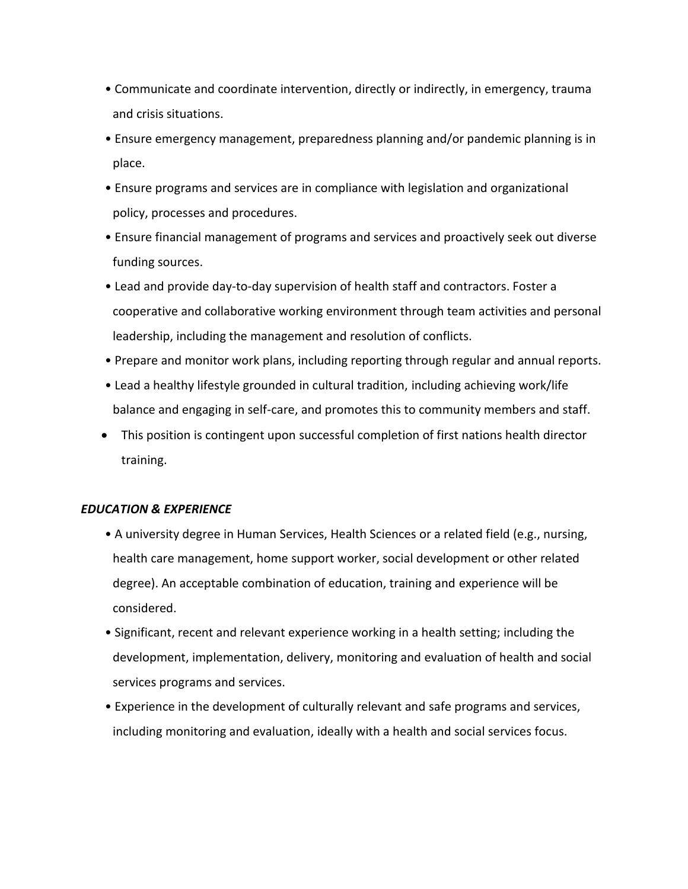- Communicate and coordinate intervention, directly or indirectly, in emergency, trauma and crisis situations.
- Ensure emergency management, preparedness planning and/or pandemic planning is in place.
- Ensure programs and services are in compliance with legislation and organizational policy, processes and procedures.
- Ensure financial management of programs and services and proactively seek out diverse funding sources.
- Lead and provide day-to-day supervision of health staff and contractors. Foster a cooperative and collaborative working environment through team activities and personal leadership, including the management and resolution of conflicts.
- Prepare and monitor work plans, including reporting through regular and annual reports.
- Lead a healthy lifestyle grounded in cultural tradition, including achieving work/life balance and engaging in self-care, and promotes this to community members and staff.
- This position is contingent upon successful completion of first nations health director training.

#### *EDUCATION & EXPERIENCE*

- A university degree in Human Services, Health Sciences or a related field (e.g., nursing, health care management, home support worker, social development or other related degree). An acceptable combination of education, training and experience will be considered.
- Significant, recent and relevant experience working in a health setting; including the development, implementation, delivery, monitoring and evaluation of health and social services programs and services.
- Experience in the development of culturally relevant and safe programs and services, including monitoring and evaluation, ideally with a health and social services focus.